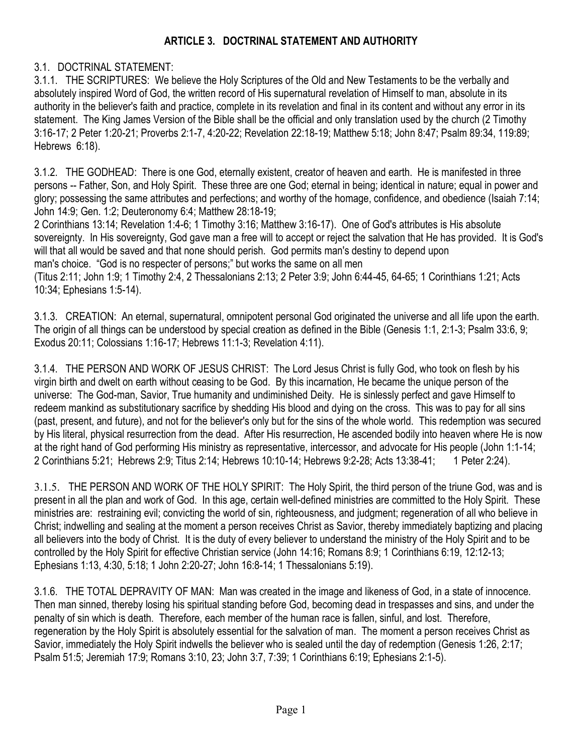## ARTICLE 3. DOCTRINAL STATEMENT AND AUTHORITY

## 3.1. DOCTRINAL STATEMENT:

3.1.1. THE SCRIPTURES: We believe the Holy Scriptures of the Old and New Testaments to be the verbally and absolutely inspired Word of God, the written record of His supernatural revelation of Himself to man, absolute in its authority in the believer's faith and practice, complete in its revelation and final in its content and without any error in its statement. The King James Version of the Bible shall be the official and only translation used by the church (2 Timothy 3:16-17; 2 Peter 1:20-21; Proverbs 2:1-7, 4:20-22; Revelation 22:18-19; Matthew 5:18; John 8:47; Psalm 89:34, 119:89; Hebrews 6:18).

3.1.2. THE GODHEAD: There is one God, eternally existent, creator of heaven and earth. He is manifested in three persons -- Father, Son, and Holy Spirit. These three are one God; eternal in being; identical in nature; equal in power and glory; possessing the same attributes and perfections; and worthy of the homage, confidence, and obedience (Isaiah 7:14; John 14:9; Gen. 1:2; Deuteronomy 6:4; Matthew 28:18-19;

2 Corinthians 13:14; Revelation 1:4-6; 1 Timothy 3:16; Matthew 3:16-17). One of God's attributes is His absolute sovereignty. In His sovereignty, God gave man a free will to accept or reject the salvation that He has provided. It is God's will that all would be saved and that none should perish. God permits man's destiny to depend upon man's choice. "God is no respecter of persons;" but works the same on all men

(Titus 2:11; John 1:9; 1 Timothy 2:4, 2 Thessalonians 2:13; 2 Peter 3:9; John 6:44-45, 64-65; 1 Corinthians 1:21; Acts 10:34; Ephesians 1:5-14).

3.1.3. CREATION: An eternal, supernatural, omnipotent personal God originated the universe and all life upon the earth. The origin of all things can be understood by special creation as defined in the Bible (Genesis 1:1, 2:1-3; Psalm 33:6, 9; Exodus 20:11; Colossians 1:16-17; Hebrews 11:1-3; Revelation 4:11).

3.1.4. THE PERSON AND WORK OF JESUS CHRIST: The Lord Jesus Christ is fully God, who took on flesh by his virgin birth and dwelt on earth without ceasing to be God. By this incarnation, He became the unique person of the universe: The God-man, Savior, True humanity and undiminished Deity. He is sinlessly perfect and gave Himself to redeem mankind as substitutionary sacrifice by shedding His blood and dying on the cross. This was to pay for all sins (past, present, and future), and not for the believer's only but for the sins of the whole world. This redemption was secured by His literal, physical resurrection from the dead. After His resurrection, He ascended bodily into heaven where He is now at the right hand of God performing His ministry as representative, intercessor, and advocate for His people (John 1:1-14; 2 Corinthians 5:21; Hebrews 2:9; Titus 2:14; Hebrews 10:10-14; Hebrews 9:2-28; Acts 13:38-41; 1 Peter 2:24).

3.1.5. THE PERSON AND WORK OF THE HOLY SPIRIT: The Holy Spirit, the third person of the triune God, was and is present in all the plan and work of God. In this age, certain well-defined ministries are committed to the Holy Spirit. These ministries are: restraining evil; convicting the world of sin, righteousness, and judgment; regeneration of all who believe in Christ; indwelling and sealing at the moment a person receives Christ as Savior, thereby immediately baptizing and placing all believers into the body of Christ. It is the duty of every believer to understand the ministry of the Holy Spirit and to be controlled by the Holy Spirit for effective Christian service (John 14:16; Romans 8:9; 1 Corinthians 6:19, 12:12-13; Ephesians 1:13, 4:30, 5:18; 1 John 2:20-27; John 16:8-14; 1 Thessalonians 5:19).

3.1.6. THE TOTAL DEPRAVITY OF MAN: Man was created in the image and likeness of God, in a state of innocence. Then man sinned, thereby losing his spiritual standing before God, becoming dead in trespasses and sins, and under the penalty of sin which is death. Therefore, each member of the human race is fallen, sinful, and lost. Therefore, regeneration by the Holy Spirit is absolutely essential for the salvation of man. The moment a person receives Christ as Savior, immediately the Holy Spirit indwells the believer who is sealed until the day of redemption (Genesis 1:26, 2:17; Psalm 51:5; Jeremiah 17:9; Romans 3:10, 23; John 3:7, 7:39; 1 Corinthians 6:19; Ephesians 2:1-5).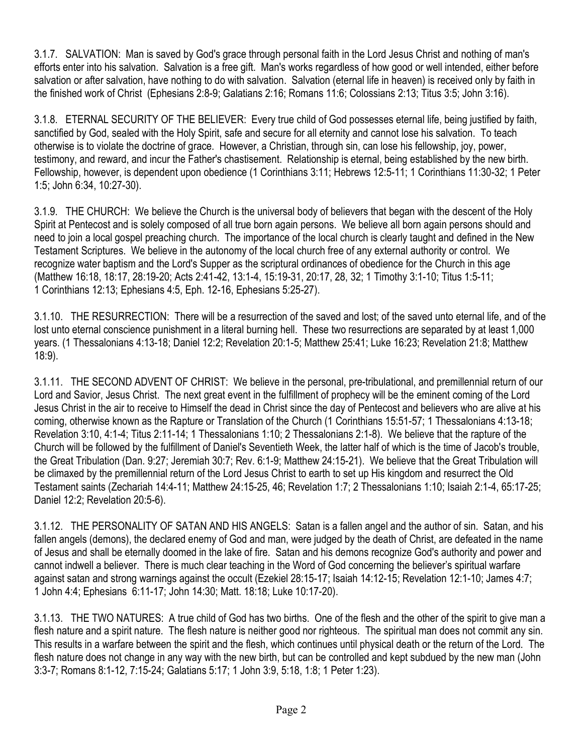3.1.7. SALVATION: Man is saved by God's grace through personal faith in the Lord Jesus Christ and nothing of man's efforts enter into his salvation. Salvation is a free gift. Man's works regardless of how good or well intended, either before salvation or after salvation, have nothing to do with salvation. Salvation (eternal life in heaven) is received only by faith in the finished work of Christ (Ephesians 2:8-9; Galatians 2:16; Romans 11:6; Colossians 2:13; Titus 3:5; John 3:16).

3.1.8. ETERNAL SECURITY OF THE BELIEVER: Every true child of God possesses eternal life, being justified by faith, sanctified by God, sealed with the Holy Spirit, safe and secure for all eternity and cannot lose his salvation. To teach otherwise is to violate the doctrine of grace. However, a Christian, through sin, can lose his fellowship, joy, power, testimony, and reward, and incur the Father's chastisement. Relationship is eternal, being established by the new birth. Fellowship, however, is dependent upon obedience (1 Corinthians 3:11; Hebrews 12:5-11; 1 Corinthians 11:30-32; 1 Peter 1:5; John 6:34, 10:27-30).

3.1.9. THE CHURCH: We believe the Church is the universal body of believers that began with the descent of the Holy Spirit at Pentecost and is solely composed of all true born again persons. We believe all born again persons should and need to join a local gospel preaching church. The importance of the local church is clearly taught and defined in the New Testament Scriptures. We believe in the autonomy of the local church free of any external authority or control. We recognize water baptism and the Lord's Supper as the scriptural ordinances of obedience for the Church in this age (Matthew 16:18, 18:17, 28:19-20; Acts 2:41-42, 13:1-4, 15:19-31, 20:17, 28, 32; 1 Timothy 3:1-10; Titus 1:5-11; 1 Corinthians 12:13; Ephesians 4:5, Eph. 12-16, Ephesians 5:25-27).

3.1.10. THE RESURRECTION: There will be a resurrection of the saved and lost; of the saved unto eternal life, and of the lost unto eternal conscience punishment in a literal burning hell. These two resurrections are separated by at least 1,000 years. (1 Thessalonians 4:13-18; Daniel 12:2; Revelation 20:1-5; Matthew 25:41; Luke 16:23; Revelation 21:8; Matthew 18:9).

3.1.11. THE SECOND ADVENT OF CHRIST: We believe in the personal, pre-tribulational, and premillennial return of our Lord and Savior, Jesus Christ. The next great event in the fulfillment of prophecy will be the eminent coming of the Lord Jesus Christ in the air to receive to Himself the dead in Christ since the day of Pentecost and believers who are alive at his coming, otherwise known as the Rapture or Translation of the Church (1 Corinthians 15:51-57; 1 Thessalonians 4:13-18; Revelation 3:10, 4:1-4; Titus 2:11-14; 1 Thessalonians 1:10; 2 Thessalonians 2:1-8). We believe that the rapture of the Church will be followed by the fulfillment of Daniel's Seventieth Week, the latter half of which is the time of Jacob's trouble, the Great Tribulation (Dan. 9:27; Jeremiah 30:7; Rev. 6:1-9; Matthew 24:15-21). We believe that the Great Tribulation will be climaxed by the premillennial return of the Lord Jesus Christ to earth to set up His kingdom and resurrect the Old Testament saints (Zechariah 14:4-11; Matthew 24:15-25, 46; Revelation 1:7; 2 Thessalonians 1:10; Isaiah 2:1-4, 65:17-25; Daniel 12:2; Revelation 20:5-6).

3.1.12. THE PERSONALITY OF SATAN AND HIS ANGELS: Satan is a fallen angel and the author of sin. Satan, and his fallen angels (demons), the declared enemy of God and man, were judged by the death of Christ, are defeated in the name of Jesus and shall be eternally doomed in the lake of fire. Satan and his demons recognize God's authority and power and cannot indwell a believer. There is much clear teaching in the Word of God concerning the believer's spiritual warfare against satan and strong warnings against the occult (Ezekiel 28:15-17; Isaiah 14:12-15; Revelation 12:1-10; James 4:7; 1 John 4:4; Ephesians 6:11-17; John 14:30; Matt. 18:18; Luke 10:17-20).

3.1.13. THE TWO NATURES: A true child of God has two births. One of the flesh and the other of the spirit to give man a flesh nature and a spirit nature. The flesh nature is neither good nor righteous. The spiritual man does not commit any sin. This results in a warfare between the spirit and the flesh, which continues until physical death or the return of the Lord. The flesh nature does not change in any way with the new birth, but can be controlled and kept subdued by the new man (John 3:3-7; Romans 8:1-12, 7:15-24; Galatians 5:17; 1 John 3:9, 5:18, 1:8; 1 Peter 1:23).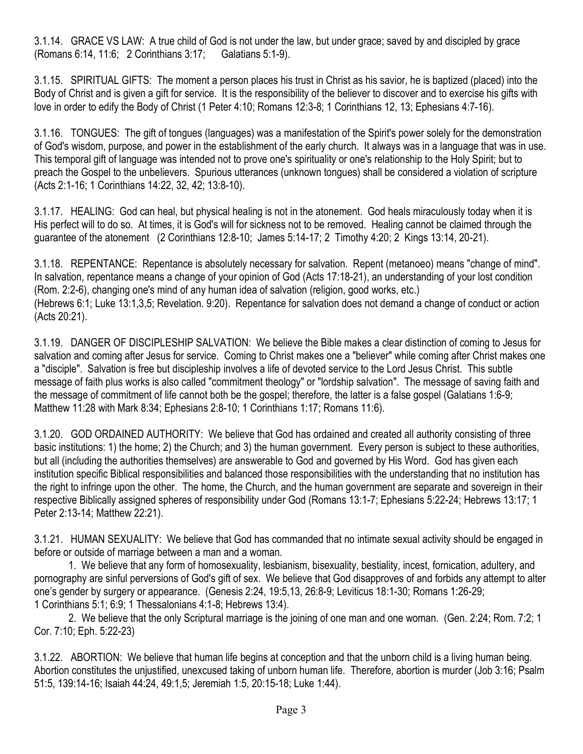3.1.14. GRACE VS LAW: A true child of God is not under the law, but under grace; saved by and discipled by grace (Romans 6:14, 11:6; 2 Corinthians 3:17; Galatians 5:1-9).

3.1.15. SPIRITUAL GIFTS: The moment a person places his trust in Christ as his savior, he is baptized (placed) into the Body of Christ and is given a gift for service. It is the responsibility of the believer to discover and to exercise his gifts with love in order to edify the Body of Christ (1 Peter 4:10; Romans 12:3-8; 1 Corinthians 12, 13; Ephesians 4:7-16).

3.1.16. TONGUES: The gift of tongues (languages) was a manifestation of the Spirit's power solely for the demonstration of God's wisdom, purpose, and power in the establishment of the early church. It always was in a language that was in use. This temporal gift of language was intended not to prove one's spirituality or one's relationship to the Holy Spirit; but to preach the Gospel to the unbelievers. Spurious utterances (unknown tongues) shall be considered a violation of scripture (Acts 2:1-16; 1 Corinthians 14:22, 32, 42; 13:8-10).

3.1.17. HEALING: God can heal, but physical healing is not in the atonement. God heals miraculously today when it is His perfect will to do so. At times, it is God's will for sickness not to be removed. Healing cannot be claimed through the guarantee of the atonement (2 Corinthians 12:8-10; James 5:14-17; 2 Timothy 4:20; 2 Kings 13:14, 20-21).

3.1.18. REPENTANCE: Repentance is absolutely necessary for salvation. Repent (metanoeo) means "change of mind". In salvation, repentance means a change of your opinion of God (Acts 17:18-21), an understanding of your lost condition (Rom. 2:2-6), changing one's mind of any human idea of salvation (religion, good works, etc.) (Hebrews 6:1; Luke 13:1,3,5; Revelation. 9:20). Repentance for salvation does not demand a change of conduct or action (Acts 20:21).

3.1.19. DANGER OF DISCIPLESHIP SALVATION: We believe the Bible makes a clear distinction of coming to Jesus for salvation and coming after Jesus for service. Coming to Christ makes one a "believer" while coming after Christ makes one a "disciple". Salvation is free but discipleship involves a life of devoted service to the Lord Jesus Christ. This subtle message of faith plus works is also called "commitment theology" or "lordship salvation". The message of saving faith and the message of commitment of life cannot both be the gospel; therefore, the latter is a false gospel (Galatians 1:6-9; Matthew 11:28 with Mark 8:34; Ephesians 2:8-10; 1 Corinthians 1:17; Romans 11:6).

3.1.20. GOD ORDAINED AUTHORITY: We believe that God has ordained and created all authority consisting of three basic institutions: 1) the home; 2) the Church; and 3) the human government. Every person is subject to these authorities, but all (including the authorities themselves) are answerable to God and governed by His Word. God has given each institution specific Biblical responsibilities and balanced those responsibilities with the understanding that no institution has the right to infringe upon the other. The home, the Church, and the human government are separate and sovereign in their respective Biblically assigned spheres of responsibility under God (Romans 13:1-7; Ephesians 5:22-24; Hebrews 13:17; 1 Peter 2:13-14; Matthew 22:21).

3.1.21. HUMAN SEXUALITY: We believe that God has commanded that no intimate sexual activity should be engaged in before or outside of marriage between a man and a woman.

1. We believe that any form of homosexuality, lesbianism, bisexuality, bestiality, incest, fornication, adultery, and pornography are sinful perversions of God's gift of sex. We believe that God disapproves of and forbids any attempt to alter one's gender by surgery or appearance. (Genesis 2:24, 19:5,13, 26:8-9; Leviticus 18:1-30; Romans 1:26-29; 1 Corinthians 5:1; 6:9; 1 Thessalonians 4:1-8; Hebrews 13:4).

 2. We believe that the only Scriptural marriage is the joining of one man and one woman. (Gen. 2:24; Rom. 7:2; 1 Cor. 7:10; Eph. 5:22-23)

3.1.22. ABORTION: We believe that human life begins at conception and that the unborn child is a living human being. Abortion constitutes the unjustified, unexcused taking of unborn human life. Therefore, abortion is murder (Job 3:16; Psalm 51:5, 139:14-16; Isaiah 44:24, 49:1,5; Jeremiah 1:5, 20:15-18; Luke 1:44).